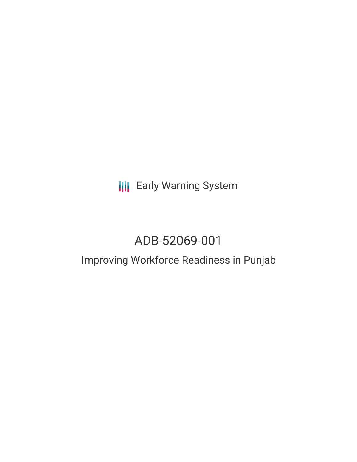**III** Early Warning System

# ADB-52069-001

## Improving Workforce Readiness in Punjab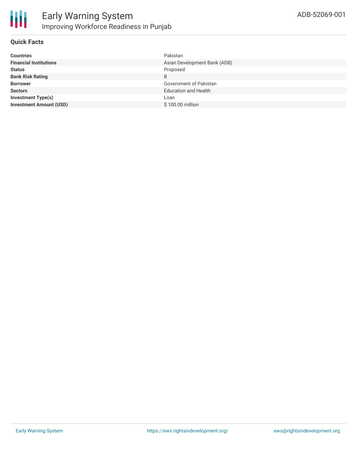

#### **Quick Facts**

| <b>Countries</b>               | Pakistan                     |
|--------------------------------|------------------------------|
| <b>Financial Institutions</b>  | Asian Development Bank (ADB) |
| <b>Status</b>                  | Proposed                     |
| <b>Bank Risk Rating</b>        | B                            |
| <b>Borrower</b>                | Government of Pakistan       |
| <b>Sectors</b>                 | <b>Education and Health</b>  |
| <b>Investment Type(s)</b>      | Loan                         |
| <b>Investment Amount (USD)</b> | \$100.00 million             |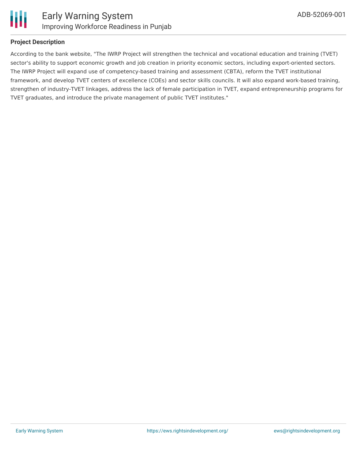

#### **Project Description**

According to the bank website, "The IWRP Project will strengthen the technical and vocational education and training (TVET) sector's ability to support economic growth and job creation in priority economic sectors, including export-oriented sectors. The IWRP Project will expand use of competency-based training and assessment (CBTA), reform the TVET institutional framework, and develop TVET centers of excellence (COEs) and sector skills councils. It will also expand work-based training, strengthen of industry-TVET linkages, address the lack of female participation in TVET, expand entrepreneurship programs for TVET graduates, and introduce the private management of public TVET institutes."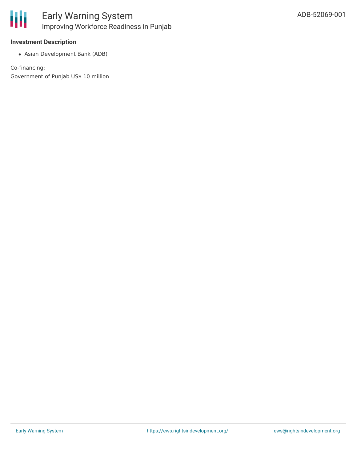

#### **Investment Description**

Asian Development Bank (ADB)

Co-financing: Government of Punjab US\$ 10 million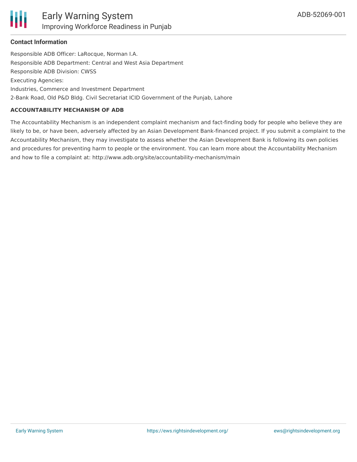#### **Contact Information**

Responsible ADB Officer: LaRocque, Norman I.A. Responsible ADB Department: Central and West Asia Department Responsible ADB Division: CWSS Executing Agencies: Industries, Commerce and Investment Department 2-Bank Road, Old P&D Bldg. Civil Secretariat ICID Government of the Punjab, Lahore

#### **ACCOUNTABILITY MECHANISM OF ADB**

The Accountability Mechanism is an independent complaint mechanism and fact-finding body for people who believe they are likely to be, or have been, adversely affected by an Asian Development Bank-financed project. If you submit a complaint to the Accountability Mechanism, they may investigate to assess whether the Asian Development Bank is following its own policies and procedures for preventing harm to people or the environment. You can learn more about the Accountability Mechanism and how to file a complaint at: http://www.adb.org/site/accountability-mechanism/main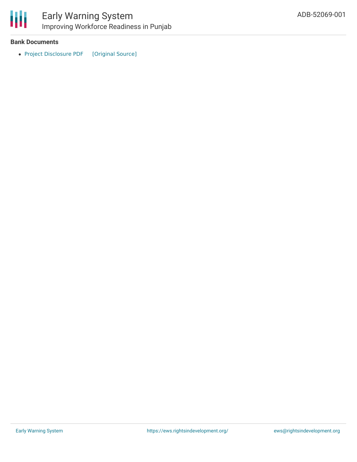

冊

### Early Warning System Improving Workforce Readiness in Punjab

#### **Bank Documents**

• Project [Disclosure](https://ewsdata.rightsindevelopment.org/files/documents/01/ADB-52069-001.pdf) PDF [\[Original](https://www.adb.org/printpdf/projects/52069-001/main) Source]